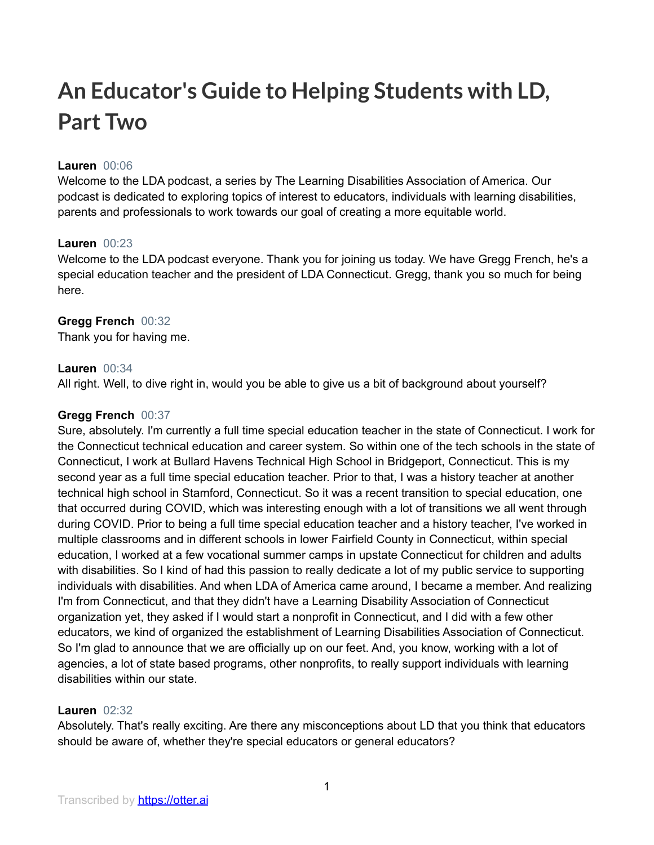# **An Educator's Guide to Helping Students with LD, Part Two**

# **Lauren** 00:06

Welcome to the LDA podcast, a series by The Learning Disabilities Association of America. Our podcast is dedicated to exploring topics of interest to educators, individuals with learning disabilities, parents and professionals to work towards our goal of creating a more equitable world.

## **Lauren** 00:23

Welcome to the LDA podcast everyone. Thank you for joining us today. We have Gregg French, he's a special education teacher and the president of LDA Connecticut. Gregg, thank you so much for being here.

# **Gregg French** 00:32

Thank you for having me.

# **Lauren** 00:34

All right. Well, to dive right in, would you be able to give us a bit of background about yourself?

# **Gregg French** 00:37

Sure, absolutely. I'm currently a full time special education teacher in the state of Connecticut. I work for the Connecticut technical education and career system. So within one of the tech schools in the state of Connecticut, I work at Bullard Havens Technical High School in Bridgeport, Connecticut. This is my second year as a full time special education teacher. Prior to that, I was a history teacher at another technical high school in Stamford, Connecticut. So it was a recent transition to special education, one that occurred during COVID, which was interesting enough with a lot of transitions we all went through during COVID. Prior to being a full time special education teacher and a history teacher, I've worked in multiple classrooms and in different schools in lower Fairfield County in Connecticut, within special education, I worked at a few vocational summer camps in upstate Connecticut for children and adults with disabilities. So I kind of had this passion to really dedicate a lot of my public service to supporting individuals with disabilities. And when LDA of America came around, I became a member. And realizing I'm from Connecticut, and that they didn't have a Learning Disability Association of Connecticut organization yet, they asked if I would start a nonprofit in Connecticut, and I did with a few other educators, we kind of organized the establishment of Learning Disabilities Association of Connecticut. So I'm glad to announce that we are officially up on our feet. And, you know, working with a lot of agencies, a lot of state based programs, other nonprofits, to really support individuals with learning disabilities within our state.

# **Lauren** 02:32

Absolutely. That's really exciting. Are there any misconceptions about LD that you think that educators should be aware of, whether they're special educators or general educators?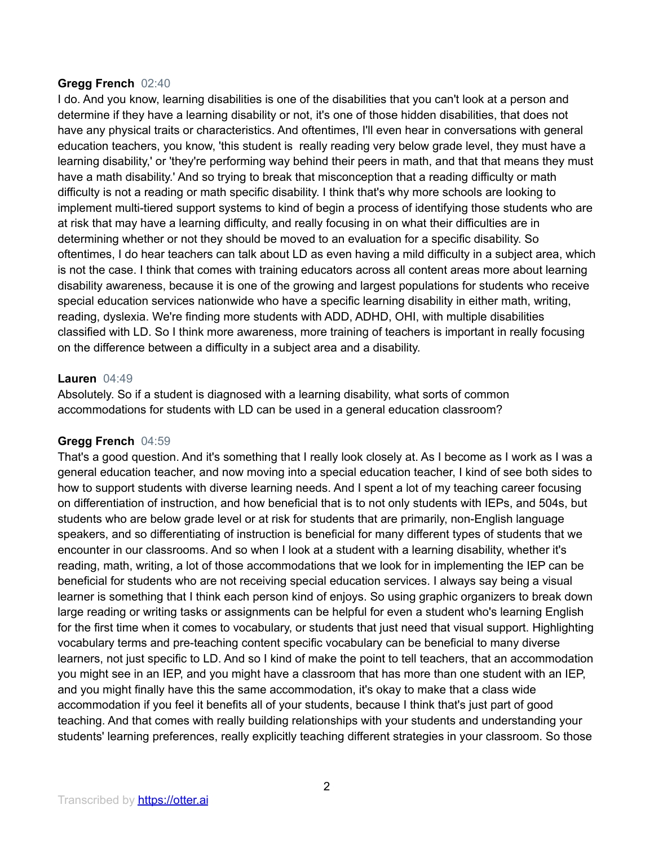#### **Gregg French** 02:40

I do. And you know, learning disabilities is one of the disabilities that you can't look at a person and determine if they have a learning disability or not, it's one of those hidden disabilities, that does not have any physical traits or characteristics. And oftentimes, I'll even hear in conversations with general education teachers, you know, 'this student is really reading very below grade level, they must have a learning disability,' or 'they're performing way behind their peers in math, and that that means they must have a math disability.' And so trying to break that misconception that a reading difficulty or math difficulty is not a reading or math specific disability. I think that's why more schools are looking to implement multi-tiered support systems to kind of begin a process of identifying those students who are at risk that may have a learning difficulty, and really focusing in on what their difficulties are in determining whether or not they should be moved to an evaluation for a specific disability. So oftentimes, I do hear teachers can talk about LD as even having a mild difficulty in a subject area, which is not the case. I think that comes with training educators across all content areas more about learning disability awareness, because it is one of the growing and largest populations for students who receive special education services nationwide who have a specific learning disability in either math, writing, reading, dyslexia. We're finding more students with ADD, ADHD, OHI, with multiple disabilities classified with LD. So I think more awareness, more training of teachers is important in really focusing on the difference between a difficulty in a subject area and a disability.

#### **Lauren** 04:49

Absolutely. So if a student is diagnosed with a learning disability, what sorts of common accommodations for students with LD can be used in a general education classroom?

## **Gregg French** 04:59

That's a good question. And it's something that I really look closely at. As I become as I work as I was a general education teacher, and now moving into a special education teacher, I kind of see both sides to how to support students with diverse learning needs. And I spent a lot of my teaching career focusing on differentiation of instruction, and how beneficial that is to not only students with IEPs, and 504s, but students who are below grade level or at risk for students that are primarily, non-English language speakers, and so differentiating of instruction is beneficial for many different types of students that we encounter in our classrooms. And so when I look at a student with a learning disability, whether it's reading, math, writing, a lot of those accommodations that we look for in implementing the IEP can be beneficial for students who are not receiving special education services. I always say being a visual learner is something that I think each person kind of enjoys. So using graphic organizers to break down large reading or writing tasks or assignments can be helpful for even a student who's learning English for the first time when it comes to vocabulary, or students that just need that visual support. Highlighting vocabulary terms and pre-teaching content specific vocabulary can be beneficial to many diverse learners, not just specific to LD. And so I kind of make the point to tell teachers, that an accommodation you might see in an IEP, and you might have a classroom that has more than one student with an IEP, and you might finally have this the same accommodation, it's okay to make that a class wide accommodation if you feel it benefits all of your students, because I think that's just part of good teaching. And that comes with really building relationships with your students and understanding your students' learning preferences, really explicitly teaching different strategies in your classroom. So those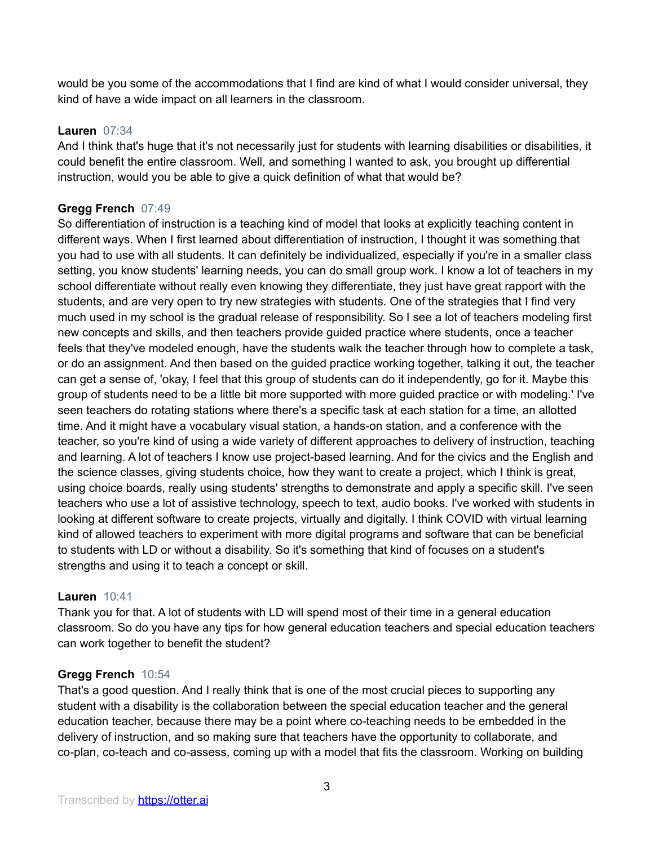would be you some of the accommodations that I find are kind of what I would consider universal, they kind of have a wide impact on all learners in the classroom.

## **Lauren** 07:34

And I think that's huge that it's not necessarily just for students with learning disabilities or disabilities, it could benefit the entire classroom. Well, and something I wanted to ask, you brought up differential instruction, would you be able to give a quick definition of what that would be?

# **Gregg French** 07:49

So differentiation of instruction is a teaching kind of model that looks at explicitly teaching content in different ways. When I first learned about differentiation of instruction, I thought it was something that you had to use with all students. It can definitely be individualized, especially if you're in a smaller class setting, you know students' learning needs, you can do small group work. I know a lot of teachers in my school differentiate without really even knowing they differentiate, they just have great rapport with the students, and are very open to try new strategies with students. One of the strategies that I find very much used in my school is the gradual release of responsibility. So I see a lot of teachers modeling first new concepts and skills, and then teachers provide guided practice where students, once a teacher feels that they've modeled enough, have the students walk the teacher through how to complete a task, or do an assignment. And then based on the guided practice working together, talking it out, the teacher can get a sense of, 'okay, I feel that this group of students can do it independently, go for it. Maybe this group of students need to be a little bit more supported with more guided practice or with modeling.' I've seen teachers do rotating stations where there's a specific task at each station for a time, an allotted time. And it might have a vocabulary visual station, a hands-on station, and a conference with the teacher, so you're kind of using a wide variety of different approaches to delivery of instruction, teaching and learning. A lot of teachers I know use project-based learning. And for the civics and the English and the science classes, giving students choice, how they want to create a project, which I think is great, using choice boards, really using students' strengths to demonstrate and apply a specific skill. I've seen teachers who use a lot of assistive technology, speech to text, audio books. I've worked with students in looking at different software to create projects, virtually and digitally. I think COVID with virtual learning kind of allowed teachers to experiment with more digital programs and software that can be beneficial to students with LD or without a disability. So it's something that kind of focuses on a student's strengths and using it to teach a concept or skill.

## **Lauren** 10:41

Thank you for that. A lot of students with LD will spend most of their time in a general education classroom. So do you have any tips for how general education teachers and special education teachers can work together to benefit the student?

## **Gregg French** 10:54

That's a good question. And I really think that is one of the most crucial pieces to supporting any student with a disability is the collaboration between the special education teacher and the general education teacher, because there may be a point where co-teaching needs to be embedded in the delivery of instruction, and so making sure that teachers have the opportunity to collaborate, and co-plan, co-teach and co-assess, coming up with a model that fits the classroom. Working on building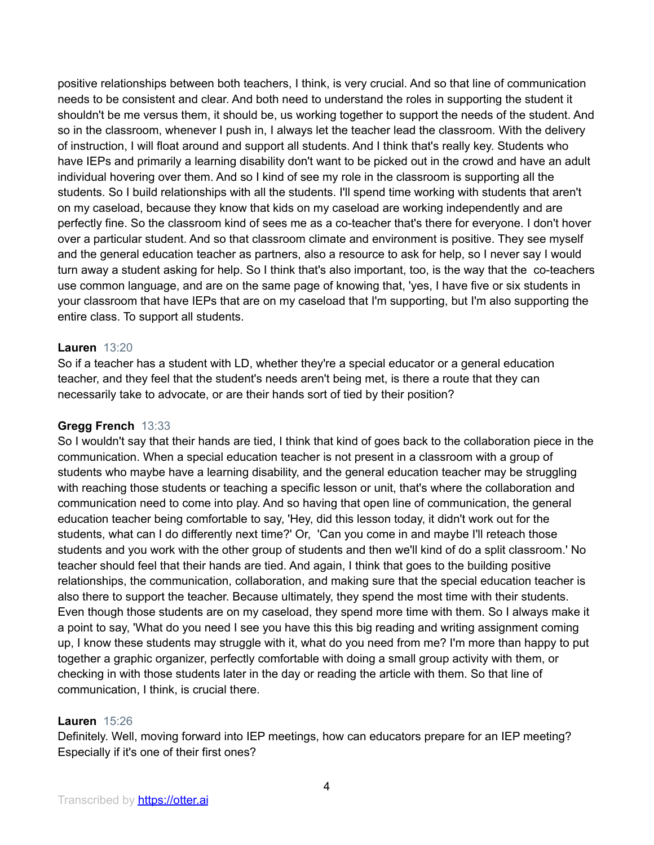positive relationships between both teachers, I think, is very crucial. And so that line of communication needs to be consistent and clear. And both need to understand the roles in supporting the student it shouldn't be me versus them, it should be, us working together to support the needs of the student. And so in the classroom, whenever I push in, I always let the teacher lead the classroom. With the delivery of instruction, I will float around and support all students. And I think that's really key. Students who have IEPs and primarily a learning disability don't want to be picked out in the crowd and have an adult individual hovering over them. And so I kind of see my role in the classroom is supporting all the students. So I build relationships with all the students. I'll spend time working with students that aren't on my caseload, because they know that kids on my caseload are working independently and are perfectly fine. So the classroom kind of sees me as a co-teacher that's there for everyone. I don't hover over a particular student. And so that classroom climate and environment is positive. They see myself and the general education teacher as partners, also a resource to ask for help, so I never say I would turn away a student asking for help. So I think that's also important, too, is the way that the co-teachers use common language, and are on the same page of knowing that, 'yes, I have five or six students in your classroom that have IEPs that are on my caseload that I'm supporting, but I'm also supporting the entire class. To support all students.

## **Lauren** 13:20

So if a teacher has a student with LD, whether they're a special educator or a general education teacher, and they feel that the student's needs aren't being met, is there a route that they can necessarily take to advocate, or are their hands sort of tied by their position?

## **Gregg French** 13:33

So I wouldn't say that their hands are tied, I think that kind of goes back to the collaboration piece in the communication. When a special education teacher is not present in a classroom with a group of students who maybe have a learning disability, and the general education teacher may be struggling with reaching those students or teaching a specific lesson or unit, that's where the collaboration and communication need to come into play. And so having that open line of communication, the general education teacher being comfortable to say, 'Hey, did this lesson today, it didn't work out for the students, what can I do differently next time?' Or, 'Can you come in and maybe I'll reteach those students and you work with the other group of students and then we'll kind of do a split classroom.' No teacher should feel that their hands are tied. And again, I think that goes to the building positive relationships, the communication, collaboration, and making sure that the special education teacher is also there to support the teacher. Because ultimately, they spend the most time with their students. Even though those students are on my caseload, they spend more time with them. So I always make it a point to say, 'What do you need I see you have this this big reading and writing assignment coming up, I know these students may struggle with it, what do you need from me? I'm more than happy to put together a graphic organizer, perfectly comfortable with doing a small group activity with them, or checking in with those students later in the day or reading the article with them. So that line of communication, I think, is crucial there.

## **Lauren** 15:26

Definitely. Well, moving forward into IEP meetings, how can educators prepare for an IEP meeting? Especially if it's one of their first ones?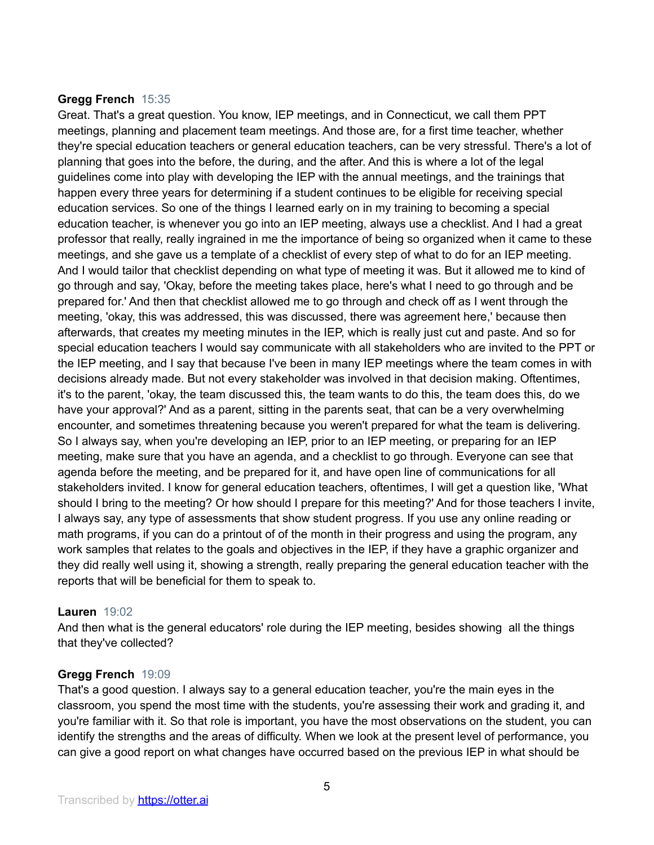## **Gregg French** 15:35

Great. That's a great question. You know, IEP meetings, and in Connecticut, we call them PPT meetings, planning and placement team meetings. And those are, for a first time teacher, whether they're special education teachers or general education teachers, can be very stressful. There's a lot of planning that goes into the before, the during, and the after. And this is where a lot of the legal guidelines come into play with developing the IEP with the annual meetings, and the trainings that happen every three years for determining if a student continues to be eligible for receiving special education services. So one of the things I learned early on in my training to becoming a special education teacher, is whenever you go into an IEP meeting, always use a checklist. And I had a great professor that really, really ingrained in me the importance of being so organized when it came to these meetings, and she gave us a template of a checklist of every step of what to do for an IEP meeting. And I would tailor that checklist depending on what type of meeting it was. But it allowed me to kind of go through and say, 'Okay, before the meeting takes place, here's what I need to go through and be prepared for.' And then that checklist allowed me to go through and check off as I went through the meeting, 'okay, this was addressed, this was discussed, there was agreement here,' because then afterwards, that creates my meeting minutes in the IEP, which is really just cut and paste. And so for special education teachers I would say communicate with all stakeholders who are invited to the PPT or the IEP meeting, and I say that because I've been in many IEP meetings where the team comes in with decisions already made. But not every stakeholder was involved in that decision making. Oftentimes, it's to the parent, 'okay, the team discussed this, the team wants to do this, the team does this, do we have your approval?' And as a parent, sitting in the parents seat, that can be a very overwhelming encounter, and sometimes threatening because you weren't prepared for what the team is delivering. So I always say, when you're developing an IEP, prior to an IEP meeting, or preparing for an IEP meeting, make sure that you have an agenda, and a checklist to go through. Everyone can see that agenda before the meeting, and be prepared for it, and have open line of communications for all stakeholders invited. I know for general education teachers, oftentimes, I will get a question like, 'What should I bring to the meeting? Or how should I prepare for this meeting?' And for those teachers I invite, I always say, any type of assessments that show student progress. If you use any online reading or math programs, if you can do a printout of of the month in their progress and using the program, any work samples that relates to the goals and objectives in the IEP, if they have a graphic organizer and they did really well using it, showing a strength, really preparing the general education teacher with the reports that will be beneficial for them to speak to.

## **Lauren** 19:02

And then what is the general educators' role during the IEP meeting, besides showing all the things that they've collected?

## **Gregg French** 19:09

That's a good question. I always say to a general education teacher, you're the main eyes in the classroom, you spend the most time with the students, you're assessing their work and grading it, and you're familiar with it. So that role is important, you have the most observations on the student, you can identify the strengths and the areas of difficulty. When we look at the present level of performance, you can give a good report on what changes have occurred based on the previous IEP in what should be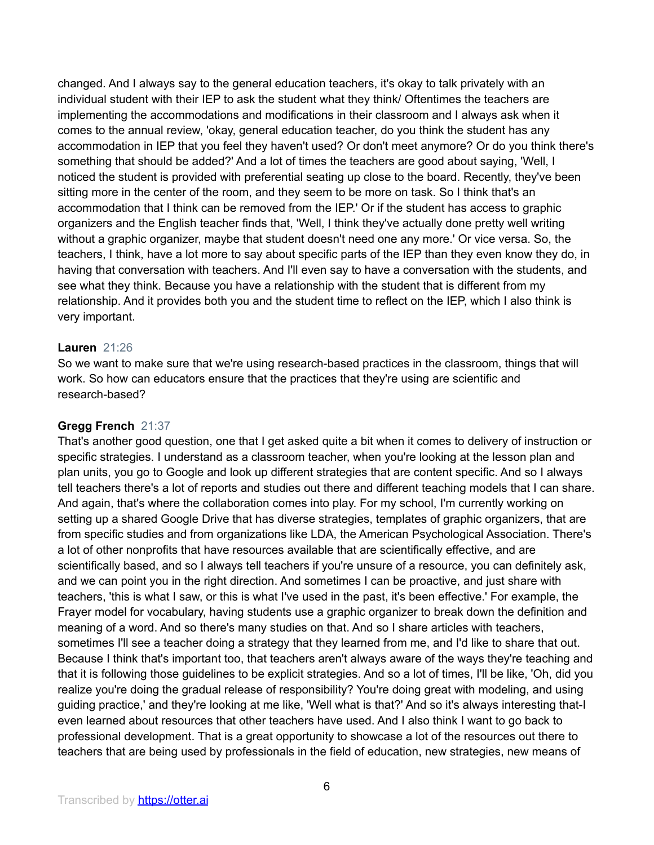changed. And I always say to the general education teachers, it's okay to talk privately with an individual student with their IEP to ask the student what they think/ Oftentimes the teachers are implementing the accommodations and modifications in their classroom and I always ask when it comes to the annual review, 'okay, general education teacher, do you think the student has any accommodation in IEP that you feel they haven't used? Or don't meet anymore? Or do you think there's something that should be added?' And a lot of times the teachers are good about saying, 'Well, I noticed the student is provided with preferential seating up close to the board. Recently, they've been sitting more in the center of the room, and they seem to be more on task. So I think that's an accommodation that I think can be removed from the IEP.' Or if the student has access to graphic organizers and the English teacher finds that, 'Well, I think they've actually done pretty well writing without a graphic organizer, maybe that student doesn't need one any more.' Or vice versa. So, the teachers, I think, have a lot more to say about specific parts of the IEP than they even know they do, in having that conversation with teachers. And I'll even say to have a conversation with the students, and see what they think. Because you have a relationship with the student that is different from my relationship. And it provides both you and the student time to reflect on the IEP, which I also think is very important.

#### **Lauren** 21:26

So we want to make sure that we're using research-based practices in the classroom, things that will work. So how can educators ensure that the practices that they're using are scientific and research-based?

#### **Gregg French** 21:37

That's another good question, one that I get asked quite a bit when it comes to delivery of instruction or specific strategies. I understand as a classroom teacher, when you're looking at the lesson plan and plan units, you go to Google and look up different strategies that are content specific. And so I always tell teachers there's a lot of reports and studies out there and different teaching models that I can share. And again, that's where the collaboration comes into play. For my school, I'm currently working on setting up a shared Google Drive that has diverse strategies, templates of graphic organizers, that are from specific studies and from organizations like LDA, the American Psychological Association. There's a lot of other nonprofits that have resources available that are scientifically effective, and are scientifically based, and so I always tell teachers if you're unsure of a resource, you can definitely ask, and we can point you in the right direction. And sometimes I can be proactive, and just share with teachers, 'this is what I saw, or this is what I've used in the past, it's been effective.' For example, the Frayer model for vocabulary, having students use a graphic organizer to break down the definition and meaning of a word. And so there's many studies on that. And so I share articles with teachers, sometimes I'll see a teacher doing a strategy that they learned from me, and I'd like to share that out. Because I think that's important too, that teachers aren't always aware of the ways they're teaching and that it is following those guidelines to be explicit strategies. And so a lot of times, I'll be like, 'Oh, did you realize you're doing the gradual release of responsibility? You're doing great with modeling, and using guiding practice,' and they're looking at me like, 'Well what is that?' And so it's always interesting that-I even learned about resources that other teachers have used. And I also think I want to go back to professional development. That is a great opportunity to showcase a lot of the resources out there to teachers that are being used by professionals in the field of education, new strategies, new means of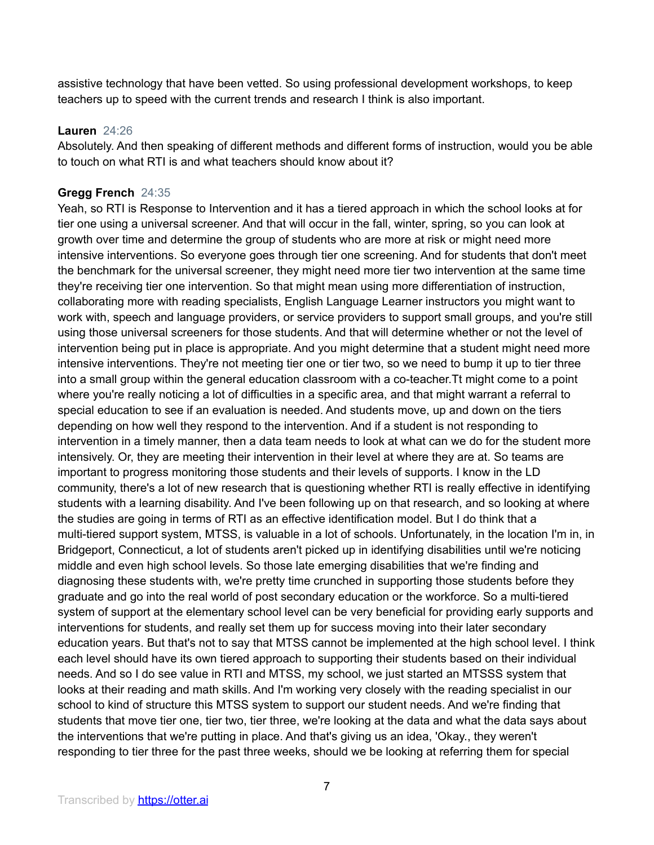assistive technology that have been vetted. So using professional development workshops, to keep teachers up to speed with the current trends and research I think is also important.

#### **Lauren** 24:26

Absolutely. And then speaking of different methods and different forms of instruction, would you be able to touch on what RTI is and what teachers should know about it?

# **Gregg French** 24:35

Yeah, so RTI is Response to Intervention and it has a tiered approach in which the school looks at for tier one using a universal screener. And that will occur in the fall, winter, spring, so you can look at growth over time and determine the group of students who are more at risk or might need more intensive interventions. So everyone goes through tier one screening. And for students that don't meet the benchmark for the universal screener, they might need more tier two intervention at the same time they're receiving tier one intervention. So that might mean using more differentiation of instruction, collaborating more with reading specialists, English Language Learner instructors you might want to work with, speech and language providers, or service providers to support small groups, and you're still using those universal screeners for those students. And that will determine whether or not the level of intervention being put in place is appropriate. And you might determine that a student might need more intensive interventions. They're not meeting tier one or tier two, so we need to bump it up to tier three into a small group within the general education classroom with a co-teacher.Tt might come to a point where you're really noticing a lot of difficulties in a specific area, and that might warrant a referral to special education to see if an evaluation is needed. And students move, up and down on the tiers depending on how well they respond to the intervention. And if a student is not responding to intervention in a timely manner, then a data team needs to look at what can we do for the student more intensively. Or, they are meeting their intervention in their level at where they are at. So teams are important to progress monitoring those students and their levels of supports. I know in the LD community, there's a lot of new research that is questioning whether RTI is really effective in identifying students with a learning disability. And I've been following up on that research, and so looking at where the studies are going in terms of RTI as an effective identification model. But I do think that a multi-tiered support system, MTSS, is valuable in a lot of schools. Unfortunately, in the location I'm in, in Bridgeport, Connecticut, a lot of students aren't picked up in identifying disabilities until we're noticing middle and even high school levels. So those late emerging disabilities that we're finding and diagnosing these students with, we're pretty time crunched in supporting those students before they graduate and go into the real world of post secondary education or the workforce. So a multi-tiered system of support at the elementary school level can be very beneficial for providing early supports and interventions for students, and really set them up for success moving into their later secondary education years. But that's not to say that MTSS cannot be implemented at the high school level. I think each level should have its own tiered approach to supporting their students based on their individual needs. And so I do see value in RTI and MTSS, my school, we just started an MTSSS system that looks at their reading and math skills. And I'm working very closely with the reading specialist in our school to kind of structure this MTSS system to support our student needs. And we're finding that students that move tier one, tier two, tier three, we're looking at the data and what the data says about the interventions that we're putting in place. And that's giving us an idea, 'Okay., they weren't responding to tier three for the past three weeks, should we be looking at referring them for special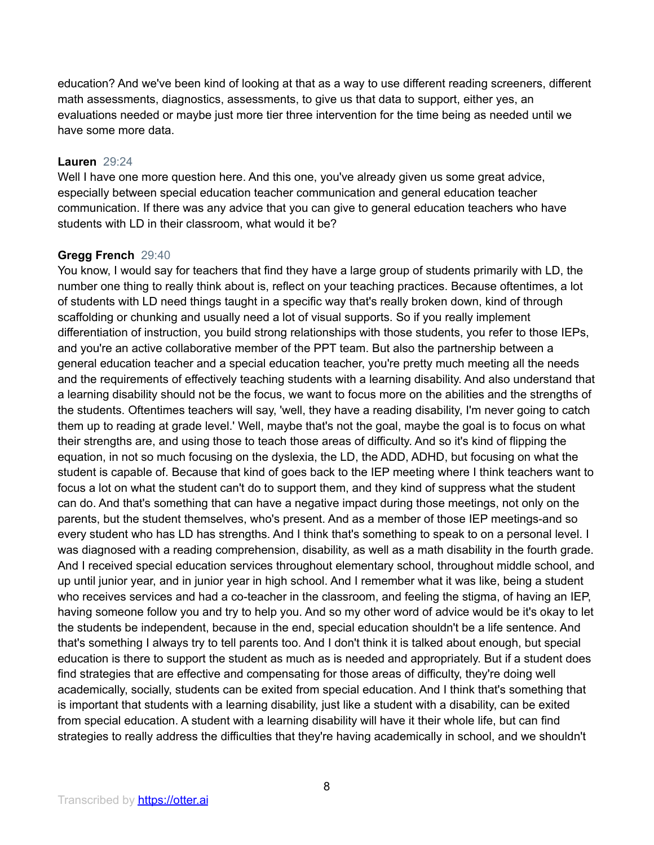education? And we've been kind of looking at that as a way to use different reading screeners, different math assessments, diagnostics, assessments, to give us that data to support, either yes, an evaluations needed or maybe just more tier three intervention for the time being as needed until we have some more data.

## **Lauren** 29:24

Well I have one more question here. And this one, you've already given us some great advice, especially between special education teacher communication and general education teacher communication. If there was any advice that you can give to general education teachers who have students with LD in their classroom, what would it be?

# **Gregg French** 29:40

You know, I would say for teachers that find they have a large group of students primarily with LD, the number one thing to really think about is, reflect on your teaching practices. Because oftentimes, a lot of students with LD need things taught in a specific way that's really broken down, kind of through scaffolding or chunking and usually need a lot of visual supports. So if you really implement differentiation of instruction, you build strong relationships with those students, you refer to those IEPs, and you're an active collaborative member of the PPT team. But also the partnership between a general education teacher and a special education teacher, you're pretty much meeting all the needs and the requirements of effectively teaching students with a learning disability. And also understand that a learning disability should not be the focus, we want to focus more on the abilities and the strengths of the students. Oftentimes teachers will say, 'well, they have a reading disability, I'm never going to catch them up to reading at grade level.' Well, maybe that's not the goal, maybe the goal is to focus on what their strengths are, and using those to teach those areas of difficulty. And so it's kind of flipping the equation, in not so much focusing on the dyslexia, the LD, the ADD, ADHD, but focusing on what the student is capable of. Because that kind of goes back to the IEP meeting where I think teachers want to focus a lot on what the student can't do to support them, and they kind of suppress what the student can do. And that's something that can have a negative impact during those meetings, not only on the parents, but the student themselves, who's present. And as a member of those IEP meetings-and so every student who has LD has strengths. And I think that's something to speak to on a personal level. I was diagnosed with a reading comprehension, disability, as well as a math disability in the fourth grade. And I received special education services throughout elementary school, throughout middle school, and up until junior year, and in junior year in high school. And I remember what it was like, being a student who receives services and had a co-teacher in the classroom, and feeling the stigma, of having an IEP, having someone follow you and try to help you. And so my other word of advice would be it's okay to let the students be independent, because in the end, special education shouldn't be a life sentence. And that's something I always try to tell parents too. And I don't think it is talked about enough, but special education is there to support the student as much as is needed and appropriately. But if a student does find strategies that are effective and compensating for those areas of difficulty, they're doing well academically, socially, students can be exited from special education. And I think that's something that is important that students with a learning disability, just like a student with a disability, can be exited from special education. A student with a learning disability will have it their whole life, but can find strategies to really address the difficulties that they're having academically in school, and we shouldn't